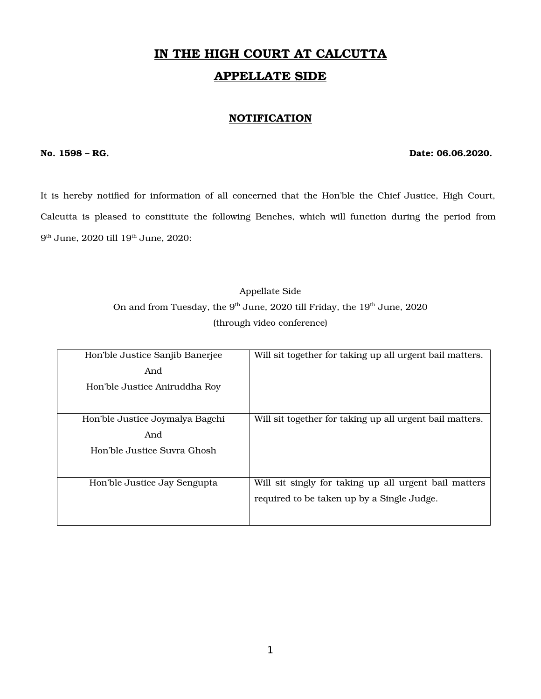# IN THE HIGH COURT AT CALCUTTA APPELLATE SIDE

#### **NOTIFICATION**

#### No. 1598 – RG. Date: 06.06.2020.

It is hereby notified for information of all concerned that the Hon'ble the Chief Justice, High Court, Calcutta is pleased to constitute the following Benches, which will function during the period from  $9<sup>th</sup>$  June,  $2020$  till  $19<sup>th</sup>$  June,  $2020$ :

### Appellate Side On and from Tuesday, the  $9<sup>th</sup>$  June, 2020 till Friday, the  $19<sup>th</sup>$  June, 2020 (through video conference)

| Hon'ble Justice Sanjib Banerjee | Will sit together for taking up all urgent bail matters. |
|---------------------------------|----------------------------------------------------------|
| And                             |                                                          |
| Hon'ble Justice Aniruddha Roy   |                                                          |
|                                 |                                                          |
| Hon'ble Justice Joymalya Bagchi | Will sit together for taking up all urgent bail matters. |
| And                             |                                                          |
| Hon'ble Justice Suvra Ghosh     |                                                          |
|                                 |                                                          |
| Hon'ble Justice Jay Sengupta    | Will sit singly for taking up all urgent bail matters    |
|                                 | required to be taken up by a Single Judge.               |
|                                 |                                                          |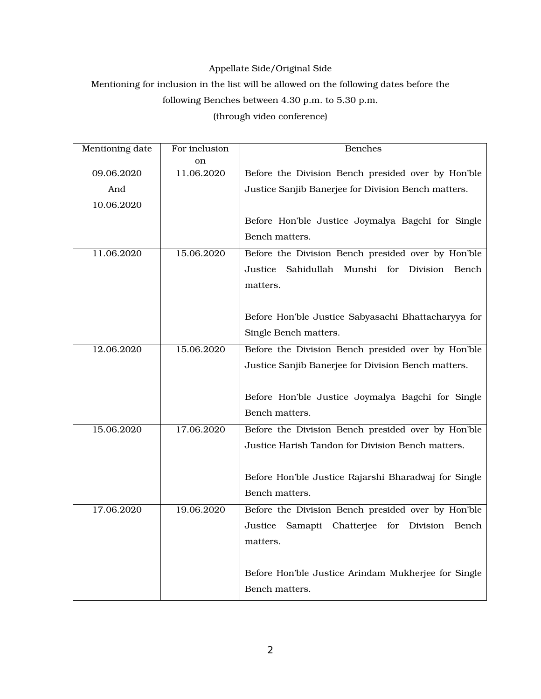#### Appellate Side/Original Side

### Mentioning for inclusion in the list will be allowed on the following dates before the

### following Benches between 4.30 p.m. to 5.30 p.m.

(through video conference)

| Mentioning date |            | <b>Benches</b>                                           |
|-----------------|------------|----------------------------------------------------------|
|                 | on         |                                                          |
| 09.06.2020      | 11.06.2020 | Before the Division Bench presided over by Hon'ble       |
| And             |            | Justice Sanjib Banerjee for Division Bench matters.      |
| 10.06.2020      |            |                                                          |
|                 |            | Before Hon'ble Justice Joymalya Bagchi for Single        |
|                 |            | Bench matters.                                           |
| 11.06.2020      | 15.06.2020 | Before the Division Bench presided over by Hon'ble       |
|                 |            | Sahidullah Munshi<br>for<br>Justice<br>Division<br>Bench |
|                 |            | matters.                                                 |
|                 |            |                                                          |
|                 |            | Before Hon'ble Justice Sabyasachi Bhattacharyya for      |
|                 |            | Single Bench matters.                                    |
| 12.06.2020      | 15.06.2020 | Before the Division Bench presided over by Hon'ble       |
|                 |            | Justice Sanjib Banerjee for Division Bench matters.      |
|                 |            |                                                          |
|                 |            | Before Hon'ble Justice Joymalya Bagchi for Single        |
|                 |            | Bench matters.                                           |
| 15.06.2020      | 17.06.2020 | Before the Division Bench presided over by Hon'ble       |
|                 |            | Justice Harish Tandon for Division Bench matters.        |
|                 |            |                                                          |
|                 |            | Before Hon'ble Justice Rajarshi Bharadwaj for Single     |
|                 |            | Bench matters.                                           |
| 17.06.2020      | 19.06.2020 | Before the Division Bench presided over by Hon'ble       |
|                 |            | Justice<br>Samapti Chatterjee for Division<br>Bench      |
|                 |            | matters.                                                 |
|                 |            |                                                          |
|                 |            | Before Hon'ble Justice Arindam Mukherjee for Single      |
|                 |            | Bench matters.                                           |
|                 |            |                                                          |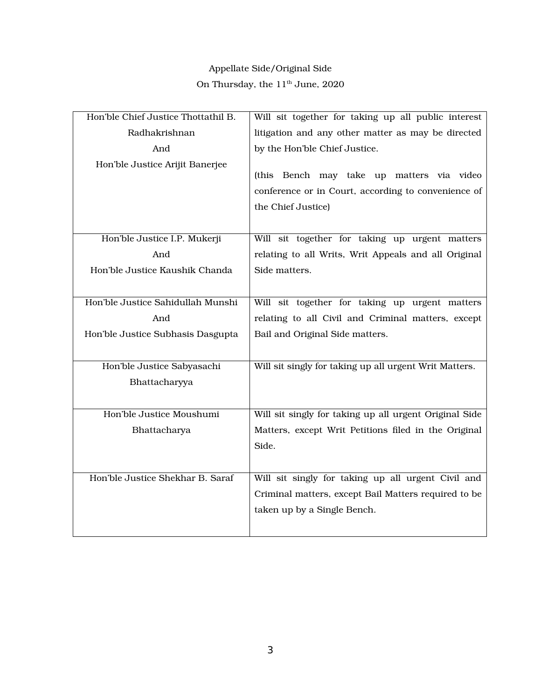# Appellate Side/Original Side On Thursday, the  $11^{\rm th}$  June, 2020

| Will sit together for taking up all public interest    |
|--------------------------------------------------------|
| litigation and any other matter as may be directed     |
| by the Hon'ble Chief Justice.                          |
|                                                        |
| (this Bench may take up matters via video              |
| conference or in Court, according to convenience of    |
| the Chief Justice)                                     |
|                                                        |
| Will sit together for taking up urgent matters         |
| relating to all Writs, Writ Appeals and all Original   |
| Side matters.                                          |
|                                                        |
| Will sit together for taking up urgent matters         |
| relating to all Civil and Criminal matters, except     |
| Bail and Original Side matters.                        |
|                                                        |
| Will sit singly for taking up all urgent Writ Matters. |
|                                                        |
|                                                        |
| Will sit singly for taking up all urgent Original Side |
| Matters, except Writ Petitions filed in the Original   |
| Side.                                                  |
|                                                        |
| Will sit singly for taking up all urgent Civil and     |
| Criminal matters, except Bail Matters required to be   |
| taken up by a Single Bench.                            |
|                                                        |
|                                                        |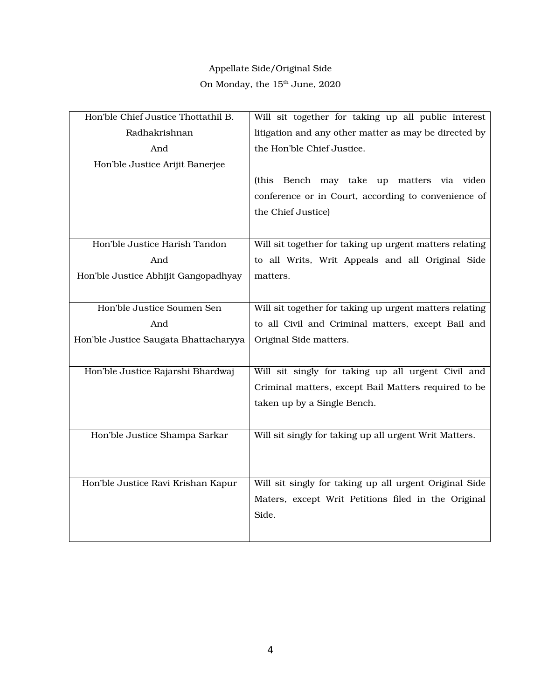# Appellate Side/Original Side On Monday, the  $15^{\rm th}$  June,  $2020$

| Hon'ble Chief Justice Thottathil B.   | Will sit together for taking up all public interest     |
|---------------------------------------|---------------------------------------------------------|
| Radhakrishnan                         | litigation and any other matter as may be directed by   |
| And                                   | the Hon'ble Chief Justice.                              |
| Hon'ble Justice Arijit Banerjee       |                                                         |
|                                       | Bench may take up matters via video<br>(this            |
|                                       | conference or in Court, according to convenience of     |
|                                       | the Chief Justice)                                      |
|                                       |                                                         |
| Hon'ble Justice Harish Tandon         | Will sit together for taking up urgent matters relating |
| And                                   | to all Writs, Writ Appeals and all Original Side        |
| Hon'ble Justice Abhijit Gangopadhyay  | matters.                                                |
|                                       |                                                         |
| Hon'ble Justice Soumen Sen            | Will sit together for taking up urgent matters relating |
| And                                   | to all Civil and Criminal matters, except Bail and      |
| Hon'ble Justice Saugata Bhattacharyya | Original Side matters.                                  |
|                                       |                                                         |
| Hon'ble Justice Rajarshi Bhardwaj     | Will sit singly for taking up all urgent Civil and      |
|                                       | Criminal matters, except Bail Matters required to be    |
|                                       | taken up by a Single Bench.                             |
|                                       |                                                         |
| Hon'ble Justice Shampa Sarkar         | Will sit singly for taking up all urgent Writ Matters.  |
|                                       |                                                         |
|                                       |                                                         |
| Hon'ble Justice Ravi Krishan Kapur    | Will sit singly for taking up all urgent Original Side  |
|                                       | Maters, except Writ Petitions filed in the Original     |
|                                       | Side.                                                   |
|                                       |                                                         |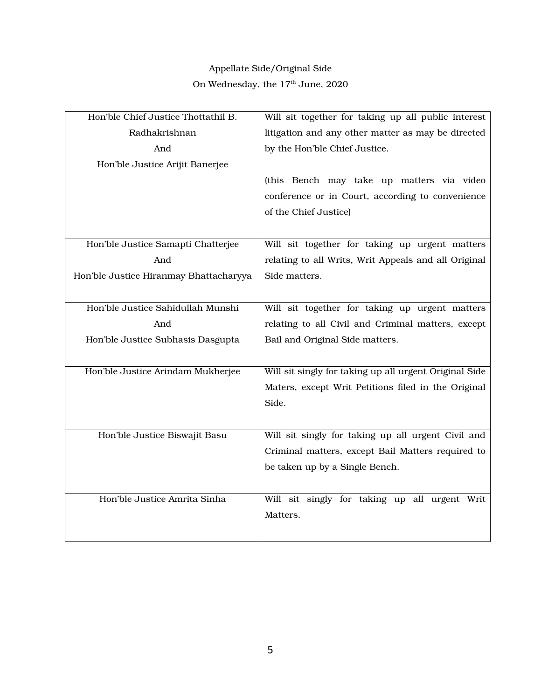# Appellate Side/Original Side On Wednesday, the  $17^{\rm th}$  June,  $2020$

| Hon'ble Chief Justice Thottathil B.    | Will sit together for taking up all public interest    |
|----------------------------------------|--------------------------------------------------------|
| Radhakrishnan                          | litigation and any other matter as may be directed     |
| And                                    | by the Hon'ble Chief Justice.                          |
| Hon'ble Justice Arijit Banerjee        |                                                        |
|                                        | (this Bench may take up matters via video              |
|                                        | conference or in Court, according to convenience       |
|                                        | of the Chief Justice)                                  |
|                                        |                                                        |
| Hon'ble Justice Samapti Chatterjee     | Will sit together for taking up urgent matters         |
| And                                    | relating to all Writs, Writ Appeals and all Original   |
| Hon'ble Justice Hiranmay Bhattacharyya | Side matters.                                          |
|                                        |                                                        |
| Hon'ble Justice Sahidullah Munshi      | Will sit together for taking up urgent matters         |
| And                                    | relating to all Civil and Criminal matters, except     |
| Hon'ble Justice Subhasis Dasgupta      | Bail and Original Side matters.                        |
|                                        |                                                        |
| Hon'ble Justice Arindam Mukherjee      | Will sit singly for taking up all urgent Original Side |
|                                        | Maters, except Writ Petitions filed in the Original    |
|                                        | Side.                                                  |
|                                        |                                                        |
| Hon'ble Justice Biswajit Basu          | Will sit singly for taking up all urgent Civil and     |
|                                        | Criminal matters, except Bail Matters required to      |
|                                        | be taken up by a Single Bench.                         |
|                                        |                                                        |
| Hon'ble Justice Amrita Sinha           | Will sit singly for taking up all urgent Writ          |
|                                        | Matters.                                               |
|                                        |                                                        |